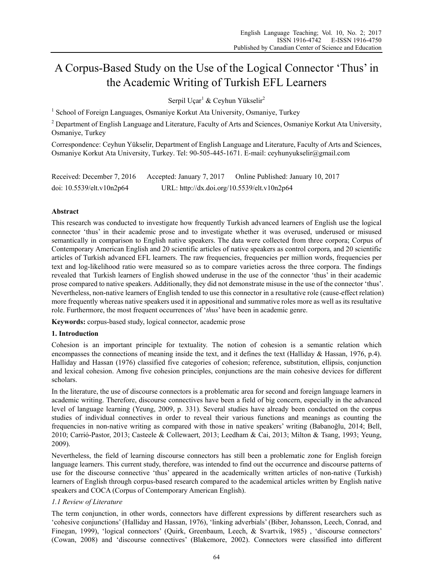# A Corpus-Based Study on the Use of the Logical Connector 'Thus' in the Academic Writing of Turkish EFL Learners

Serpil Uçar<sup>1</sup> & Ceyhun Yükselir<sup>2</sup>

<sup>1</sup> School of Foreign Languages, Osmaniye Korkut Ata University, Osmaniye, Turkey

<sup>2</sup> Department of English Language and Literature, Faculty of Arts and Sciences, Osmaniye Korkut Ata University, Osmaniye, Turkey

Correspondence: Ceyhun Yükselir, Department of English Language and Literature, Faculty of Arts and Sciences, Osmaniye Korkut Ata University, Turkey. Tel: 90-505-445-1671. E-mail: ceyhunyukselir@gmail.com

| Received: December 7, 2016      | Accepted: January 7, 2017                   | Online Published: January 10, 2017 |
|---------------------------------|---------------------------------------------|------------------------------------|
| doi: $10.5539$ /elt.v $10n2p64$ | URL: http://dx.doi.org/10.5539/elt.v10n2p64 |                                    |

## **Abstract**

This research was conducted to investigate how frequently Turkish advanced learners of English use the logical connector 'thus' in their academic prose and to investigate whether it was overused, underused or misused semantically in comparison to English native speakers. The data were collected from three corpora; Corpus of Contemporary American English and 20 scientific articles of native speakers as control corpora, and 20 scientific articles of Turkish advanced EFL learners. The raw frequencies, frequencies per million words, frequencies per text and log-likelihood ratio were measured so as to compare varieties across the three corpora. The findings revealed that Turkish learners of English showed underuse in the use of the connector 'thus' in their academic prose compared to native speakers. Additionally, they did not demonstrate misuse in the use of the connector 'thus'. Nevertheless, non-native learners of English tended to use this connector in a resultative role (cause-effect relation) more frequently whereas native speakers used it in appositional and summative roles more as well as its resultative role. Furthermore, the most frequent occurrences of '*thus*' have been in academic genre.

**Keywords:** corpus-based study, logical connector, academic prose

# **1. Introduction**

Cohesion is an important principle for textuality. The notion of cohesion is a semantic relation which encompasses the connections of meaning inside the text, and it defines the text (Halliday & Hassan, 1976, p.4). Halliday and Hassan (1976) classified five categories of cohesion; reference, substitution, ellipsis, conjunction and lexical cohesion. Among five cohesion principles, conjunctions are the main cohesive devices for different scholars.

In the literature, the use of discourse connectors is a problematic area for second and foreign language learners in academic writing. Therefore, discourse connectives have been a field of big concern, especially in the advanced level of language learning (Yeung, 2009, p. 331). Several studies have already been conducted on the corpus studies of individual connectives in order to reveal their various functions and meanings as counting the frequencies in non-native writing as compared with those in native speakers' writing (Babanoğlu, 2014; Bell, 2010; Carrió-Pastor, 2013; Casteele & Collewaert, 2013; Leedham & Cai, 2013; Milton & Tsang, 1993; Yeung, 2009).

Nevertheless, the field of learning discourse connectors has still been a problematic zone for English foreign language learners. This current study, therefore, was intended to find out the occurrence and discourse patterns of use for the discourse connective 'thus' appeared in the academically written articles of non-native (Turkish) learners of English through corpus-based research compared to the academical articles written by English native speakers and COCA (Corpus of Contemporary American English).

# *1.1 Review of Literature*

The term conjunction, in other words, connectors have different expressions by different researchers such as 'cohesive conjunctions' (Halliday and Hassan, 1976), 'linking adverbials' (Biber, Johansson, Leech, Conrad, and Finegan, 1999), 'logical connectors' (Quirk, Greenbaum, Leech, & Svartvik, 1985) , 'discourse connectors' (Cowan, 2008) and 'discourse connectives' (Blakemore, 2002). Connectors were classified into different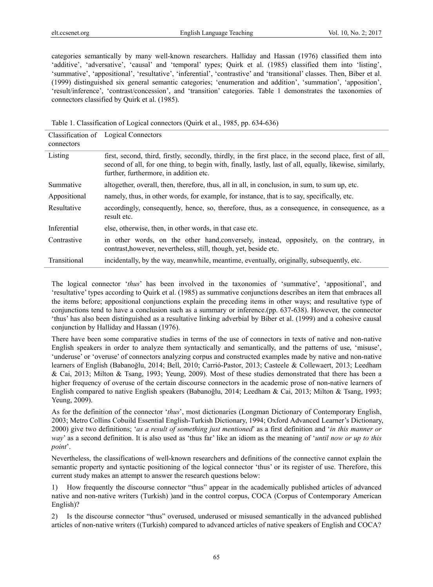categories semantically by many well-known researchers. Halliday and Hassan (1976) classified them into 'additive', 'adversative', 'causal' and 'temporal' types; Quirk et al. (1985) classified them into 'listing', 'summative', 'appositional', 'resultative', 'inferential', 'contrastive' and 'transitional' classes. Then, Biber et al. (1999) distinguished six general semantic categories; 'enumeration and addition', 'summation', 'apposition', 'result/inference', 'contrast/concession', and 'transition' categories. Table 1 demonstrates the taxonomies of connectors classified by Quirk et al. (1985).

| Table 1. Classification of Logical connectors (Quirk et al., 1985, pp. 634-636) |  |  |  |
|---------------------------------------------------------------------------------|--|--|--|
|                                                                                 |  |  |  |

| connectors   | Classification of Logical Connectors                                                                                                                                                                                                                           |
|--------------|----------------------------------------------------------------------------------------------------------------------------------------------------------------------------------------------------------------------------------------------------------------|
| Listing      | first, second, third, firstly, secondly, thirdly, in the first place, in the second place, first of all,<br>second of all, for one thing, to begin with, finally, lastly, last of all, equally, likewise, similarly,<br>further, furthermore, in addition etc. |
| Summative    | altogether, overall, then, therefore, thus, all in all, in conclusion, in sum, to sum up, etc.                                                                                                                                                                 |
| Appositional | namely, thus, in other words, for example, for instance, that is to say, specifically, etc.                                                                                                                                                                    |
| Resultative  | accordingly, consequently, hence, so, therefore, thus, as a consequence, in consequence, as a<br>result etc.                                                                                                                                                   |
| Inferential  | else, otherwise, then, in other words, in that case etc.                                                                                                                                                                                                       |
| Contrastive  | in other words, on the other hand, conversely, instead, oppositely, on the contrary, in<br>contrast, however, nevertheless, still, though, yet, beside etc.                                                                                                    |
| Transitional | incidentally, by the way, meanwhile, meantime, eventually, originally, subsequently, etc.                                                                                                                                                                      |

The logical connector '*thus*' has been involved in the taxonomies of 'summative', 'appositional', and 'resultative' types according to Quirk et al. (1985) as summative conjunctions describes an item that embraces all the items before; appositional conjunctions explain the preceding items in other ways; and resultative type of conjunctions tend to have a conclusion such as a summary or inference.(pp. 637-638). However, the connector 'thus' has also been distinguished as a resultative linking adverbial by Biber et al. (1999) and a cohesive causal conjunction by Halliday and Hassan (1976).

There have been some comparative studies in terms of the use of connectors in texts of native and non-native English speakers in order to analyze them syntactically and semantically, and the patterns of use, 'misuse', 'underuse' or 'overuse' of connectors analyzing corpus and constructed examples made by native and non-native learners of English (Babanoğlu, 2014; Bell, 2010; Carrió-Pastor, 2013; Casteele & Collewaert, 2013; Leedham & Cai, 2013; Milton & Tsang, 1993; Yeung, 2009). Most of these studies demonstrated that there has been a higher frequency of overuse of the certain discourse connectors in the academic prose of non-native learners of English compared to native English speakers (Babanoğlu, 2014; Leedham & Cai, 2013; Milton & Tsang, 1993; Yeung, 2009).

As for the definition of the connector '*thus*', most dictionaries (Longman Dictionary of Contemporary English, 2003; Metro Collins Cobuild Essential English-Turkish Dictionary, 1994; Oxford Advanced Learner's Dictionary, 2000) give two definitions; '*as a result of something just mentioned*' as a first definition and '*in this manner or way*' as a second definition. It is also used as 'thus far' like an idiom as the meaning of '*until now or up to this point*'.

Nevertheless, the classifications of well-known researchers and definitions of the connective cannot explain the semantic property and syntactic positioning of the logical connector 'thus' or its register of use. Therefore, this current study makes an attempt to answer the research questions below:

1) How frequently the discourse connector "thus" appear in the academically published articles of advanced native and non-native writers (Turkish) )and in the control corpus, COCA (Corpus of Contemporary American English)?

2) Is the discourse connector "thus" overused, underused or misused semantically in the advanced published articles of non-native writers ((Turkish) compared to advanced articles of native speakers of English and COCA?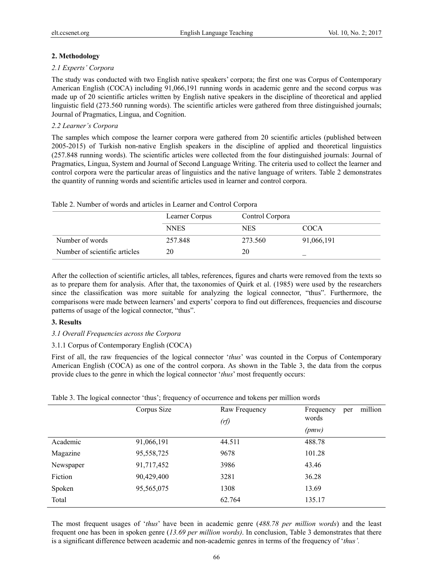# **2. Methodology**

## *2.1 Experts' Corpora*

The study was conducted with two English native speakers' corpora; the first one was Corpus of Contemporary American English (COCA) including 91,066,191 running words in academic genre and the second corpus was made up of 20 scientific articles written by English native speakers in the discipline of theoretical and applied linguistic field (273.560 running words). The scientific articles were gathered from three distinguished journals; Journal of Pragmatics, Lingua, and Cognition.

## *2.2 Learner's Corpora*

The samples which compose the learner corpora were gathered from 20 scientific articles (published between 2005-2015) of Turkish non-native English speakers in the discipline of applied and theoretical linguistics (257.848 running words). The scientific articles were collected from the four distinguished journals: Journal of Pragmatics, Lingua, System and Journal of Second Language Writing. The criteria used to collect the learner and control corpora were the particular areas of linguistics and the native language of writers. Table 2 demonstrates the quantity of running words and scientific articles used in learner and control corpora.

|  |  |  |  | Table 2. Number of words and articles in Learner and Control Corpora |
|--|--|--|--|----------------------------------------------------------------------|
|--|--|--|--|----------------------------------------------------------------------|

|                               | Learner Corpus | Control Corpora |            |
|-------------------------------|----------------|-----------------|------------|
|                               | <b>NNES</b>    | NES             | COCA       |
| Number of words               | 257.848        | 273.560         | 91,066,191 |
| Number of scientific articles | 20             | 20              |            |

After the collection of scientific articles, all tables, references, figures and charts were removed from the texts so as to prepare them for analysis. After that, the taxonomies of Quirk et al. (1985) were used by the researchers since the classification was more suitable for analyzing the logical connector, "thus". Furthermore, the comparisons were made between learners' and experts' corpora to find out differences, frequencies and discourse patterns of usage of the logical connector, "thus".

# **3. Results**

# *3.1 Overall Frequencies across the Corpora*

## 3.1.1 Corpus of Contemporary English (COCA)

First of all, the raw frequencies of the logical connector '*thus*' was counted in the Corpus of Contemporary American English (COCA) as one of the control corpora. As shown in the Table 3, the data from the corpus provide clues to the genre in which the logical connector '*thus*' most frequently occurs:

|           | Corpus Size | Raw Frequency<br>(rf) | million<br>Frequency<br>per<br>words |
|-----------|-------------|-----------------------|--------------------------------------|
|           |             |                       | (pmw)                                |
| Academic  | 91,066,191  | 44.511                | 488.78                               |
| Magazine  | 95,558,725  | 9678                  | 101.28                               |
| Newspaper | 91,717,452  | 3986                  | 43.46                                |
| Fiction   | 90,429,400  | 3281                  | 36.28                                |
| Spoken    | 95,565,075  | 1308                  | 13.69                                |
| Total     |             | 62.764                | 135.17                               |

Table 3. The logical connector 'thus'; frequency of occurrence and tokens per million words

The most frequent usages of '*thus*' have been in academic genre (*488.78 per million words*) and the least frequent one has been in spoken genre (*13.69 per million words)*. In conclusion, Table 3 demonstrates that there is a significant difference between academic and non-academic genres in terms of the frequency of '*thus'.*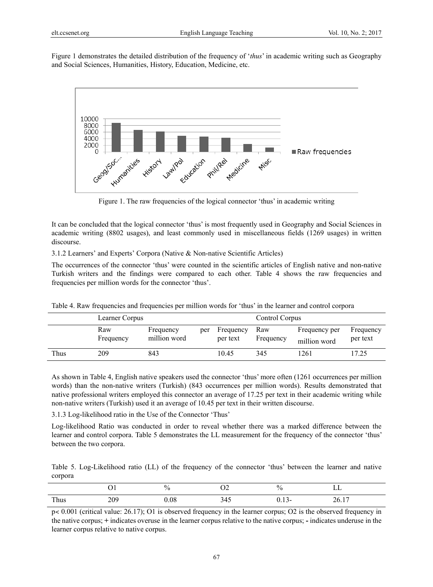Figure 1 demonstrates the detailed distribution of the frequency of '*thus*' in academic writing such as Geography and Social Sciences, Humanities, History, Education, Medicine, etc.



Figure 1. The raw frequencies of the logical connector 'thus' in academic writing

It can be concluded that the logical connector 'thus' is most frequently used in Geography and Social Sciences in academic writing (8802 usages), and least commonly used in miscellaneous fields (1269 usages) in written discourse.

3.1.2 Learners' and Experts' Corpora (Native & Non-native Scientific Articles)

The occurrences of the connector 'thus' were counted in the scientific articles of English native and non-native Turkish writers and the findings were compared to each other. Table 4 shows the raw frequencies and frequencies per million words for the connector 'thus'.

|      | Learner Corpus   |                           |     | Control Corpus        |                  |                               |                       |
|------|------------------|---------------------------|-----|-----------------------|------------------|-------------------------------|-----------------------|
|      | Raw<br>Frequency | Frequency<br>million word | per | Frequency<br>per text | Raw<br>Frequency | Frequency per<br>million word | Frequency<br>per text |
| Thus | 209              | 843                       |     | 10.45                 | 345              | 1261                          | 7.25                  |

Table 4. Raw frequencies and frequencies per million words for 'thus' in the learner and control corpora

As shown in Table 4, English native speakers used the connector 'thus' more often (1261 occurrences per million words) than the non-native writers (Turkish) (843 occurrences per million words). Results demonstrated that native professional writers employed this connector an average of 17.25 per text in their academic writing while non-native writers (Turkish) used it an average of 10.45 per text in their written discourse.

3.1.3 Log-likelihood ratio in the Use of the Connector 'Thus'

Log-likelihood Ratio was conducted in order to reveal whether there was a marked difference between the learner and control corpora. Table 5 demonstrates the LL measurement for the frequency of the connector 'thus' between the two corpora.

Table 5. Log-Likelihood ratio (LL) of the frequency of the connector 'thus' between the learner and native corpora

|      | ◡   | $\frac{0}{0}$ | $\tilde{}$ | $\mathbf{0}$<br>υ | பப   |
|------|-----|---------------|------------|-------------------|------|
| Thus | 209 | .us           | 34J        | ∪.⊥ ┙             | 20.1 |

p˂ 0.001 (critical value: 26.17); O1 is observed frequency in the learner corpus; O2 is the observed frequency in the native corpus; **+** indicates overuse in the learner corpus relative to the native corpus; **-** indicates underuse in the learner corpus relative to native corpus.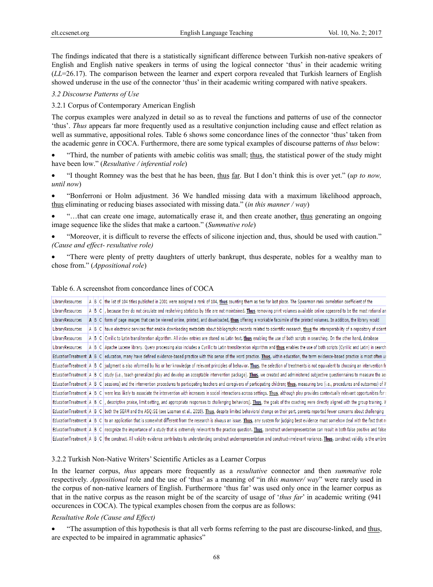The findings indicated that there is a statistically significant difference between Turkish non-native speakers of English and English native speakers in terms of using the logical connector 'thus' in their academic writing (*LL*=26.17). The comparison between the learner and expert corpora revealed that Turkish learners of English showed underuse in the use of the connector 'thus' in their academic writing compared with native speakers.

#### *3.2 Discourse Patterns of Use*

#### 3.2.1 Corpus of Contemporary American English

The corpus examples were analyzed in detail so as to reveal the functions and patterns of use of the connector 'thus'. *Thus* appears far more frequently used as a resultative conjunction including cause and effect relation as well as summative, appositional roles. Table 6 shows some concordance lines of the connector 'thus' taken from the academic genre in COCA. Furthermore, there are some typical examples of discourse patterns of *thus* below:

• "Third, the number of patients with amebic colitis was small; thus, the statistical power of the study might have been low." (*Resultative / inferential role*)

 "I thought Romney was the best that he has been, thus far. But I don't think this is over yet." (*up to now, until now*)

 "Bonferroni or Holm adjustment. 36 We handled missing data with a maximum likelihood approach, thus eliminating or reducing biases associated with missing data." (*in this manner / way*)

 "…that can create one image, automatically erase it, and then create another, thus generating an ongoing image sequence like the slides that make a cartoon." (*Summative role*)

 "Moreover, it is difficult to reverse the effects of silicone injection and, thus, should be used with caution." *(Cause and effect- resultative role)*

 "There were plenty of pretty daughters of utterly bankrupt, thus desperate, nobles for a wealthy man to chose from." (*Appositional role*)

#### Table 6. A screenshot from concordance lines of COCA

LibraryResources | A |B |C |the list of 104 titles published in 2001 were assigned a rank of 104, thus counting them as ties for last place. The Spearman rank correlation coefficient of the LibraryResources  $A \mid B \mid C$ , because they do not circulate and reshelving statistics by title are not maintained. Thus removing print volumes available online appeared to be the most rational an LibraryResources A B C form of page images that can be viewed online, printed, and downloaded, thus offering a workable facsimile of the printed volumes. In addition, the library would LibraryResources | A |B |C | have electronic services that enable downloading metadata about bibliographic records related to scientific research, thus the interoperability of a repository of scient  $|A|B|C|C$  (Cyrillic to Latin transliteration algorithm. All index entries are stored as Latin text, thus enabling the use of both scripts in searching. On the other hand, database LibraryResources LibraryResources ABC Apache Lucene library. Query processing also includes a Cyrillic to Latin transliteration algorithm and thus enables the use of both scripts (Cyrillic and Latin) in search EducationTreatment | B C education, many have defined evidence-based practice with this sense of the word practice. Thus, within education, the term evidence-based practice is most often us EducationTreatment | A | B | C | judgment is also informed by his or her knowledge of relevant principles of behavior. Thus, the selection of treatments is not equivalent to choosing an intervention fr EducationTreatment | A | B | C | study (i.e., teach generalized play and develop an acceptable intervention package). Thus, we created and administered subjective questionnaires to measure the ac EducationTreatment | A | B | C sessions) and the intervention procedures to participating teachers and caregivers of participating children; thus, measuring two (i.e., procedures and outcomes) of W EducationTreatment | A | B | C | were less likely to associate the intervention with increases in social interactions across settings. Thus, although play provides contextually relevant opportunities for : EducationTreatment | A | B | C |, descriptive praise, limit setting, and appropriate responses to challenging behaviors). Thus, the goals of the coaching were directly aligned with the group training. W EducationTreatment | A | B | C | both the SEAM and the ASQ:SE (see Lissman et al., 2010). Thus, despite limited behavioral change on their part, parents reported fewer concerns about challenging EducationTreatment | A | B | C | to an application that is somewhat different from the research is always an issue. Thus, any system for judging best evidence must somehow deal with the fact that re EducationTreatment | A | B | C | recognize the importance of a study that is extremely relevant to the practice question. Thus, construct underrepresentation can result in both false positive and false EducationTreatment | A | B | C | the construct. All validity evidence contributes to understanding construct underrepresentation and construct-irrelevant variance. Thus, construct validity is the umbre

#### 3.2.2 Turkish Non-Native Writers' Scientific Articles as a Learner Corpus

In the learner corpus, *thus* appears more frequently as a *resultative* connector and then *summative* role respectively. *Appositional* role and the use of 'thus' as a meaning of "in *this manner/ way*" were rarely used in the corpus of non-native learners of English. Furthermore 'thus far' was used only once in the learner corpus as that in the native corpus as the reason might be of the scarcity of usage of '*thus far*' in academic writing (941 occurences in COCA). The typical examples chosen from the corpus are as follows:

#### *Resultative Role (Cause and Effect)*

 "The assumption of this hypothesis is that all verb forms referring to the past are discourse-linked, and thus, are expected to be impaired in agrammatic aphasics"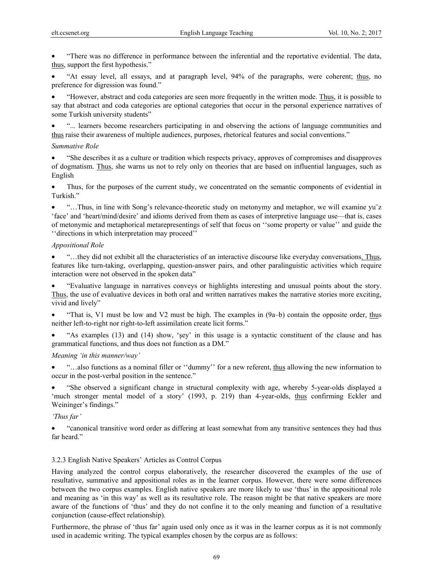"There was no difference in performance between the inferential and the reportative evidential. The data, thus, support the first hypothesis."

 "At essay level, all essays, and at paragraph level, 94% of the paragraphs, were coherent; thus, no preference for digression was found."

 "However, abstract and coda categories are seen more frequently in the written mode. Thus, it is possible to say that abstract and coda categories are optional categories that occur in the personal experience narratives of some Turkish university students"

 "... learners become researchers participating in and observing the actions of language communities and thus raise their awareness of multiple audiences, purposes, rhetorical features and social conventions."

*Summative Role* 

 "She describes it as a culture or tradition which respects privacy, approves of compromises and disapproves of dogmatism. Thus, she warns us not to rely only on theories that are based on influential languages, such as English

 Thus, for the purposes of the current study, we concentrated on the semantic components of evidential in Turkish."

 "…Thus, in line with Song's relevance-theoretic study on metonymy and metaphor, we will examine yu¨z 'face' and 'heart/mind/desire' and idioms derived from them as cases of interpretive language use—that is, cases of metonymic and metaphorical metarepresentings of self that focus on ''some property or value'' and guide the ''directions in which interpretation may proceed''

# *Appositional Role*

 "…they did not exhibit all the characteristics of an interactive discourse like everyday conversations. Thus, features like turn-taking, overlapping, question-answer pairs, and other paralinguistic activities which require interaction were not observed in the spoken data"

 "Evaluative language in narratives conveys or highlights interesting and unusual points about the story. Thus, the use of evaluative devices in both oral and written narratives makes the narrative stories more exciting, vivid and lively"

 "That is, V1 must be low and V2 must be high. The examples in (9a–b) contain the opposite order, thus neither left-to-right nor right-to-left assimilation create licit forms."

 "As examples (13) and (14) show, 'şey' in this usage is a syntactic constituent of the clause and has grammatical functions, and thus does not function as a DM."

#### *Meaning 'in this manner/way'*

 "…also functions as a nominal filler or ''dummy'' for a new referent, thus allowing the new information to occur in the post-verbal position in the sentence."

 "She observed a significant change in structural complexity with age, whereby 5-year-olds displayed a 'much stronger mental model of a story' (1993, p. 219) than 4-year-olds, thus confirming Eckler and Weininger's findings."

*'Thus far'* 

 "canonical transitive word order as differing at least somewhat from any transitive sentences they had thus far heard."

## 3.2.3 English Native Speakers' Articles as Control Corpus

Having analyzed the control corpus elaboratively, the researcher discovered the examples of the use of resultative, summative and appositional roles as in the learner corpus. However, there were some differences between the two corpus examples. English native speakers are more likely to use 'thus' in the appositional role and meaning as 'in this way' as well as its resultative role. The reason might be that native speakers are more aware of the functions of 'thus' and they do not confine it to the only meaning and function of a resultative conjunction (cause-effect relationship).

Furthermore, the phrase of 'thus far' again used only once as it was in the learner corpus as it is not commonly used in academic writing. The typical examples chosen by the corpus are as follows: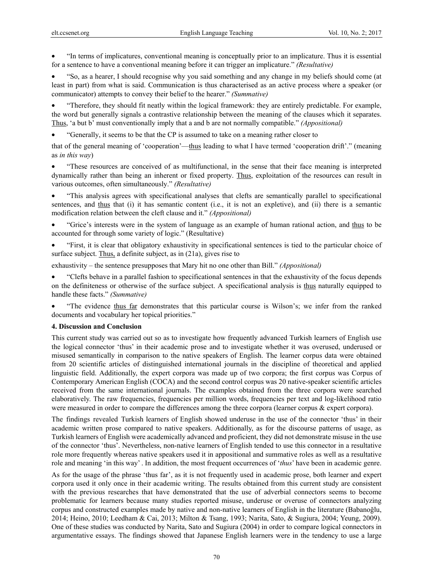"In terms of implicatures, conventional meaning is conceptually prior to an implicature. Thus it is essential for a sentence to have a conventional meaning before it can trigger an implicature." *(Resultative)* 

 "So, as a hearer, I should recognise why you said something and any change in my beliefs should come (at least in part) from what is said. Communication is thus characterised as an active process where a speaker (or communicator) attempts to convey their belief to the hearer." *(Summative)*

 "Therefore, they should fit neatly within the logical framework: they are entirely predictable. For example, the word but generally signals a contrastive relationship between the meaning of the clauses which it separates. Thus, 'a but b' must conventionally imply that a and b are not normally compatible." *(Appositional)* 

"Generally, it seems to be that the CP is assumed to take on a meaning rather closer to

that of the general meaning of 'cooperation'—thus leading to what I have termed 'cooperation drift'." (meaning as *in this way*)

 "These resources are conceived of as multifunctional, in the sense that their face meaning is interpreted dynamically rather than being an inherent or fixed property. Thus, exploitation of the resources can result in various outcomes, often simultaneously." *(Resultative)* 

 "This analysis agrees with specificational analyses that clefts are semantically parallel to specificational sentences, and thus that (i) it has semantic content (i.e., it is not an expletive), and (ii) there is a semantic modification relation between the cleft clause and it." *(Appositional)* 

 "Grice's interests were in the system of language as an example of human rational action, and thus to be accounted for through some variety of logic." (Resultative)

 "First, it is clear that obligatory exhaustivity in specificational sentences is tied to the particular choice of surface subject. Thus, a definite subject, as in (21a), gives rise to

exhaustivity – the sentence presupposes that Mary hit no one other than Bill." *(Appositional)* 

 "Clefts behave in a parallel fashion to specificational sentences in that the exhaustivity of the focus depends on the definiteness or otherwise of the surface subject. A specificational analysis is thus naturally equipped to handle these facts." *(Summative)* 

"The evidence thus far demonstrates that this particular course is Wilson's; we infer from the ranked documents and vocabulary her topical priorities."

#### **4. Discussion and Conclusion**

This current study was carried out so as to investigate how frequently advanced Turkish learners of English use the logical connector 'thus' in their academic prose and to investigate whether it was overused, underused or misused semantically in comparison to the native speakers of English. The learner corpus data were obtained from 20 scientific articles of distinguished international journals in the discipline of theoretical and applied linguistic field. Additionally, the expert corpora was made up of two corpora; the first corpus was Corpus of Contemporary American English (COCA) and the second control corpus was 20 native-speaker scientific articles received from the same international journals. The examples obtained from the three corpora were searched elaboratively. The raw frequencies, frequencies per million words, frequencies per text and log-likelihood ratio were measured in order to compare the differences among the three corpora (learner corpus & expert corpora).

The findings revealed Turkish learners of English showed underuse in the use of the connector 'thus' in their academic written prose compared to native speakers. Additionally, as for the discourse patterns of usage, as Turkish learners of English were academically advanced and proficient, they did not demonstrate misuse in the use of the connector 'thus'. Nevertheless, non-native learners of English tended to use this connector in a resultative role more frequently whereas native speakers used it in appositional and summative roles as well as a resultative role and meaning 'in this way' . In addition, the most frequent occurrences of '*thus*' have been in academic genre.

As for the usage of the phrase 'thus far', as it is not frequently used in academic prose, both learner and expert corpora used it only once in their academic writing. The results obtained from this current study are consistent with the previous researches that have demonstrated that the use of adverbial connectors seems to become problematic for learners because many studies reported misuse, underuse or overuse of connectors analyzing corpus and constructed examples made by native and non-native learners of English in the literature (Babanoğlu, 2014; Heino, 2010; Leedham & Cai, 2013; Milton & Tsang, 1993; Narita, Sato, & Sugiura, 2004; Yeung, 2009). One of these studies was conducted by Narita, Sato and Sugiura (2004) in order to compare logical connectors in argumentative essays. The findings showed that Japanese English learners were in the tendency to use a large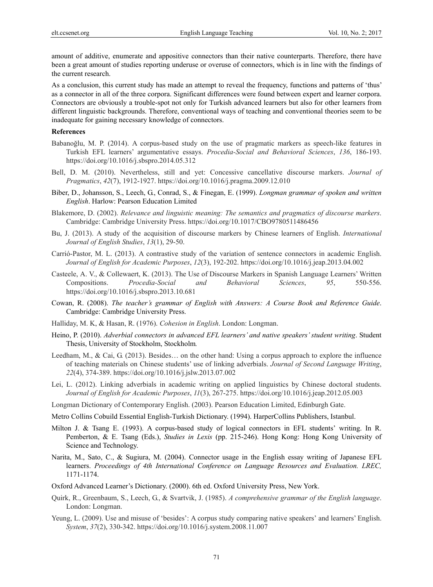amount of additive, enumerate and appositive connectors than their native counterparts. Therefore, there have been a great amount of studies reporting underuse or overuse of connectors, which is in line with the findings of the current research.

As a conclusion, this current study has made an attempt to reveal the frequency, functions and patterns of 'thus' as a connector in all of the three corpora. Significant differences were found between expert and learner corpora. Connectors are obviously a trouble-spot not only for Turkish advanced learners but also for other learners from different linguistic backgrounds. Therefore, conventional ways of teaching and conventional theories seem to be inadequate for gaining necessary knowledge of connectors.

#### **References**

- Babanoğlu, M. P. (2014). A corpus-based study on the use of pragmatic markers as speech-like features in Turkish EFL learners' argumentative essays. *Procedia-Social and Behavioral Sciences*, *136*, 186-193. https://doi.org/10.1016/j.sbspro.2014.05.312
- Bell, D. M. (2010). Nevertheless, still and yet: Concessive cancellative discourse markers. *Journal of Pragmatics*, *42*(7), 1912-1927. https://doi.org/10.1016/j.pragma.2009.12.010
- Biber, D., Johansson, S., Leech, G., Conrad, S., & Finegan, E. (1999). *Longman grammar of spoken and written English*. Harlow: Pearson Education Limited
- Blakemore, D. (2002). *Relevance and linguistic meaning: The semantics and pragmatics of discourse markers*. Cambridge: Cambridge University Press. https://doi.org/10.1017/CBO9780511486456
- Bu, J. (2013). A study of the acquisition of discourse markers by Chinese learners of English. *International Journal of English Studies*, *13*(1), 29-50.
- Carrió-Pastor, M. L. (2013). A contrastive study of the variation of sentence connectors in academic English. *Journal of English for Academic Purposes*, *12*(3), 192-202. https://doi.org/10.1016/j.jeap.2013.04.002
- Casteele, A. V., & Collewaert, K. (2013). The Use of Discourse Markers in Spanish Language Learners' Written Compositions. *Procedia-Social and Behavioral Sciences*, *95*, 550-556. https://doi.org/10.1016/j.sbspro.2013.10.681
- Cowan, R. (2008). *The teacher's grammar of English with Answers: A Course Book and Reference Guide*. Cambridge: Cambridge University Press.
- Halliday, M. K, & Hasan, R. (1976). *Cohesion in English*. London: Longman.
- Heino, P. (2010). *Adverbial connectors in advanced EFL learners' and native speakers' student writing*. Student Thesis, University of Stockholm, Stockholm*.*
- Leedham, M., & Cai, G. (2013). Besides… on the other hand: Using a corpus approach to explore the influence of teaching materials on Chinese students' use of linking adverbials. *Journal of Second Language Writing*, *22*(4), 374-389. https://doi.org/10.1016/j.jslw.2013.07.002
- Lei, L. (2012). Linking adverbials in academic writing on applied linguistics by Chinese doctoral students. *Journal of English for Academic Purposes*, *11*(3), 267-275. https://doi.org/10.1016/j.jeap.2012.05.003
- Longman Dictionary of Contemporary English. (2003). Pearson Education Limited, Edinburgh Gate.

Metro Collins Cobuild Essential English-Turkish Dictionary. (1994). HarperCollins Publishers, Istanbul.

- Milton J. & Tsang E. (1993). A corpus-based study of logical connectors in EFL students' writing. In R. Pemberton, & E. Tsang (Eds.), *Studies in Lexis* (pp. 215-246). Hong Kong: Hong Kong University of Science and Technology.
- Narita, M., Sato, C., & Sugiura, M. (2004). Connector usage in the English essay writing of Japanese EFL learners. *Proceedings of 4th International Conference on Language Resources and Evaluation. LREC,*  1171-1174.
- Oxford Advanced Learner's Dictionary. (2000). 6th ed. Oxford University Press, New York.
- Quirk, R., Greenbaum, S., Leech, G., & Svartvik, J. (1985). *A comprehensive grammar of the English language*. London: Longman.
- Yeung, L. (2009). Use and misuse of 'besides': A corpus study comparing native speakers' and learners' English. *System*, *37*(2), 330-342. https://doi.org/10.1016/j.system.2008.11.007